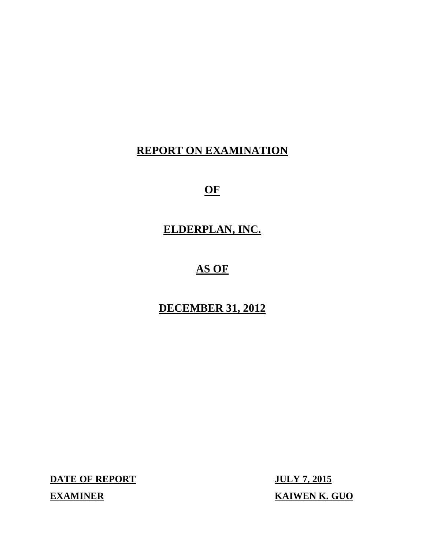## **REPORT ON EXAMINATION**

## **OF**

## **ELDERPLAN, INC.**

# **AS OF**

## **DECEMBER 31, 2012**

**DATE OF REPORT JULY 7, 2015** 

**EXAMINER** 

**KAIWEN K. GUO**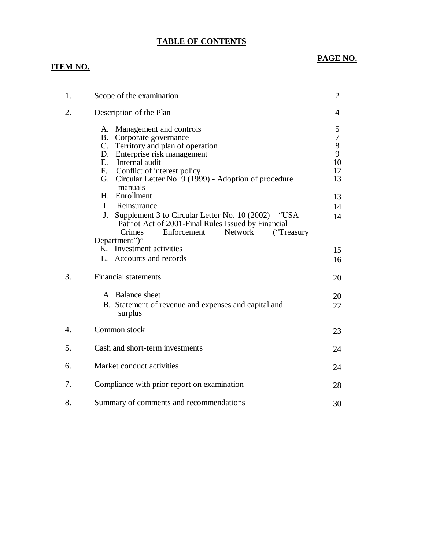### **TABLE OF CONTENTS**

# **PAGE NO. PAGE NO.**

| 1.               | Scope of the examination                                                                                                                                                                                                                                           | $\overline{2}$                                        |
|------------------|--------------------------------------------------------------------------------------------------------------------------------------------------------------------------------------------------------------------------------------------------------------------|-------------------------------------------------------|
| 2.               | Description of the Plan                                                                                                                                                                                                                                            | 4                                                     |
|                  | Management and controls<br>А.<br>B. Corporate governance<br>C. Territory and plan of operation<br>D. Enterprise risk management<br>E. Internal audit<br>F.<br>Conflict of interest policy<br>Circular Letter No. 9 (1999) - Adoption of procedure<br>G.<br>manuals | 5<br>$\boldsymbol{7}$<br>$8\,$<br>9<br>10<br>12<br>13 |
|                  | H. Enrollment                                                                                                                                                                                                                                                      | 13                                                    |
|                  | I. Reinsurance<br>Supplement 3 to Circular Letter No. $10(2002) -$ "USA<br>J.<br>Patriot Act of 2001-Final Rules Issued by Financial<br>Enforcement<br>Crimes<br><b>Network</b><br>("Treasury")                                                                    | 14<br>14                                              |
|                  | Department")"<br>K. Investment activities                                                                                                                                                                                                                          | 15                                                    |
|                  | L. Accounts and records                                                                                                                                                                                                                                            | 16                                                    |
| 3.               | <b>Financial statements</b>                                                                                                                                                                                                                                        | 20                                                    |
|                  | A. Balance sheet<br>B. Statement of revenue and expenses and capital and<br>surplus                                                                                                                                                                                | 20<br>22                                              |
| $\overline{4}$ . | Common stock                                                                                                                                                                                                                                                       | 23                                                    |
| 5.               | Cash and short-term investments                                                                                                                                                                                                                                    | 24                                                    |
| 6.               | Market conduct activities                                                                                                                                                                                                                                          | 24                                                    |
| 7.               | Compliance with prior report on examination                                                                                                                                                                                                                        | 28                                                    |
| 8.               | Summary of comments and recommendations                                                                                                                                                                                                                            | 30                                                    |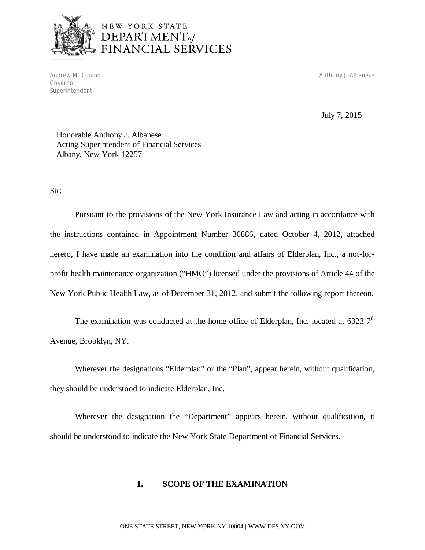

# NEW YORK STATE<br>**DEPARTMENT**of FINANCIAL SERVICES

Andrew M. Cuomo Governor Superintendent

Anthony J. Albanese

July 7, 2015

 Honorable Anthony J. Albanese Acting Superintendent of Financial Services Albany, New York 12257

Sir:

 Pursuant to the provisions of the New York Insurance Law and acting in accordance with the instructions contained in Appointment Number 30886, dated October 4, 2012, attached hereto, I have made an examination into the condition and affairs of Elderplan, Inc., a not-for- profit health maintenance organization ("HMO") licensed under the provisions of Article 44 of the New York Public Health Law, as of December 31, 2012, and submit the following report thereon.

 Avenue, Brooklyn, NY. The examination was conducted at the home office of Elderplan, Inc. located at 6323  $7<sup>th</sup>$ 

 Wherever the designations "Elderplan" or the "Plan", appear herein, without qualification, they should be understood to indicate Elderplan, Inc.

 Wherever the designation the "Department" appears herein, without qualification, it should be understood to indicate the New York State Department of Financial Services.

### $1.$ **<u>SCOPE OF THE EXAMINATION</u>**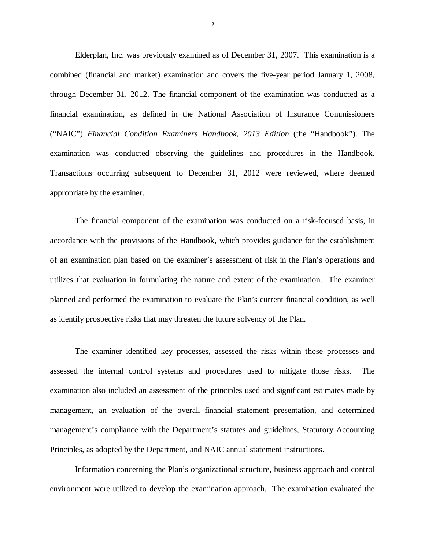Elderplan, Inc. was previously examined as of December 31, 2007. This examination is a combined (financial and market) examination and covers the five-year period January 1, 2008, through December 31, 2012. The financial component of the examination was conducted as a financial examination, as defined in the National Association of Insurance Commissioners ("NAIC") *Financial Condition Examiners Handbook, 2013 Edition* (the "Handbook"). The examination was conducted observing the guidelines and procedures in the Handbook. Transactions occurring subsequent to December 31, 2012 were reviewed, where deemed appropriate by the examiner.

 accordance with the provisions of the Handbook, which provides guidance for the establishment of an examination plan based on the examiner's assessment of risk in the Plan's operations and utilizes that evaluation in formulating the nature and extent of the examination. The examiner planned and performed the examination to evaluate the Plan's current financial condition, as well as identify prospective risks that may threaten the future solvency of the Plan. The financial component of the examination was conducted on a risk-focused basis, in

 assessed the internal control systems and procedures used to mitigate those risks. The examination also included an assessment of the principles used and significant estimates made by management, an evaluation of the overall financial statement presentation, and determined management's compliance with the Department's statutes and guidelines, Statutory Accounting Principles, as adopted by the Department, and NAIC annual statement instructions. The examiner identified key processes, assessed the risks within those processes and

 Information concerning the Plan's organizational structure, business approach and control environment were utilized to develop the examination approach. The examination evaluated the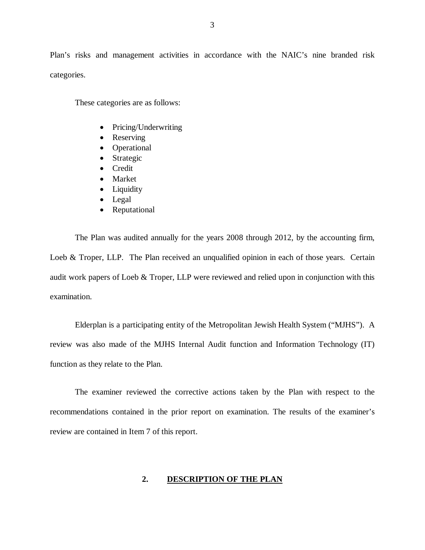Plan's risks and management activities in accordance with the NAIC's nine branded risk categories.

These categories are as follows:

- Pricing/Underwriting
- Reserving
- Operational
- Strategic
- Credit
- Market
- Liquidity
- Legal
- Reputational

 The Plan was audited annually for the years 2008 through 2012, by the accounting firm, Loeb & Troper, LLP. The Plan received an unqualified opinion in each of those years. Certain audit work papers of Loeb & Troper, LLP were reviewed and relied upon in conjunction with this examination.

 examination. Elderplan is a participating entity of the Metropolitan Jewish Health System ("MJHS"). A review was also made of the MJHS Internal Audit function and Information Technology (IT) function as they relate to the Plan.

 The examiner reviewed the corrective actions taken by the Plan with respect to the recommendations contained in the prior report on examination. The results of the examiner's review are contained in Item 7 of this report.

### **2. DESCRIPTION OF THE PLAN**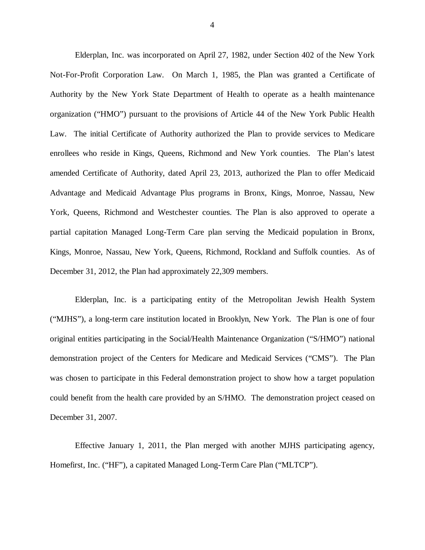Elderplan, Inc. was incorporated on April 27, 1982, under Section 402 of the New York Not-For-Profit Corporation Law. On March 1, 1985, the Plan was granted a Certificate of Authority by the New York State Department of Health to operate as a health maintenance organization ("HMO") pursuant to the provisions of Article 44 of the New York Public Health Law. The initial Certificate of Authority authorized the Plan to provide services to Medicare enrollees who reside in Kings, Queens, Richmond and New York counties. The Plan's latest amended Certificate of Authority, dated April 23, 2013, authorized the Plan to offer Medicaid Advantage and Medicaid Advantage Plus programs in Bronx, Kings, Monroe, Nassau, New York, Queens, Richmond and Westchester counties. The Plan is also approved to operate a partial capitation Managed Long-Term Care plan serving the Medicaid population in Bronx, Kings, Monroe, Nassau, New York, Queens, Richmond, Rockland and Suffolk counties. As of December 31, 2012, the Plan had approximately 22,309 members.

 Elderplan, Inc. is a participating entity of the Metropolitan Jewish Health System ("MJHS"), a long-term care institution located in Brooklyn, New York. The Plan is one of four original entities participating in the Social/Health Maintenance Organization ("S/HMO") national demonstration project of the Centers for Medicare and Medicaid Services ("CMS"). The Plan was chosen to participate in this Federal demonstration project to show how a target population could benefit from the health care provided by an S/HMO. The demonstration project ceased on December 31, 2007.

 Effective January 1, 2011, the Plan merged with another MJHS participating agency, Homefirst, Inc. ("HF"), a capitated Managed Long-Term Care Plan ("MLTCP").

4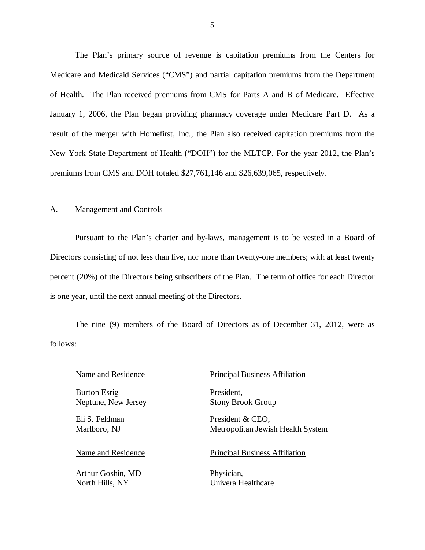The Plan's primary source of revenue is capitation premiums from the Centers for Medicare and Medicaid Services ("CMS") and partial capitation premiums from the Department of Health. The Plan received premiums from CMS for Parts A and B of Medicare. Effective January 1, 2006, the Plan began providing pharmacy coverage under Medicare Part D. As a result of the merger with Homefirst, Inc., the Plan also received capitation premiums from the New York State Department of Health ("DOH") for the MLTCP. For the year 2012, the Plan's premiums from CMS and DOH totaled \$27,761,146 and \$26,639,065, respectively.

### A. Management and Controls

 Pursuant to the Plan's charter and by-laws, management is to be vested in a Board of Directors consisting of not less than five, nor more than twenty-one members; with at least twenty percent (20%) of the Directors being subscribers of the Plan. The term of office for each Director is one year, until the next annual meeting of the Directors.

 The nine (9) members of the Board of Directors as of December 31, 2012, were as follows:

 Burton Esrig Neptune, New Jersey

 Eli S. Feldman Marlboro, NJ

 Arthur Goshin, MD Physician, North Hills, NY

### Name and Residence Principal Business Affiliation

President, Stony Brook Group

 Metropolitan Jewish Health System President & CEO,

### Name and Residence Principal Business Affiliation

Univera Healthcare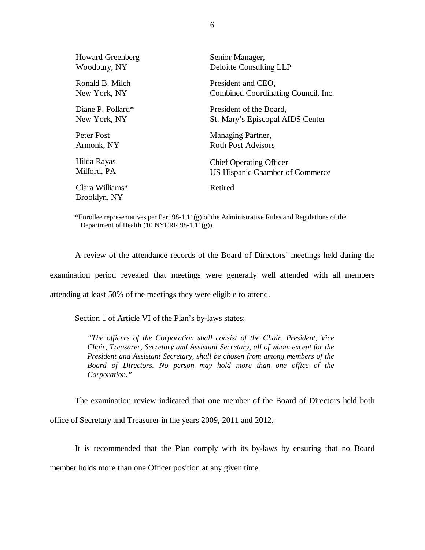| <b>Howard Greenberg</b>         | Senior Manager,                     |
|---------------------------------|-------------------------------------|
| Woodbury, NY                    | <b>Deloitte Consulting LLP</b>      |
| Ronald B. Milch                 | President and CEO,                  |
| New York, NY                    | Combined Coordinating Council, Inc. |
| Diane P. Pollard*               | President of the Board,             |
| New York, NY                    | St. Mary's Episcopal AIDS Center    |
| Peter Post                      | Managing Partner,                   |
| Armonk, NY                      | <b>Roth Post Advisors</b>           |
| Hilda Rayas                     | <b>Chief Operating Officer</b>      |
| Milford, PA                     | US Hispanic Chamber of Commerce     |
| Clara Williams*<br>Brooklyn, NY | Retired                             |

 \*Enrollee representatives per Part 98-1.11(g) of the Administrative Rules and Regulations of the Department of Health (10 NYCRR 98-1.11(g)).

 examination period revealed that meetings were generally well attended with all members attending at least 50% of the meetings they were eligible to attend. A review of the attendance records of the Board of Directors' meetings held during the

Section 1 of Article VI of the Plan's by-laws states:

 *"The officers of the Corporation shall consist of the Chair, President, Vice Chair, Treasurer, Secretary and Assistant Secretary, all of whom except for the President and Assistant Secretary, shall be chosen from among members of the Board of Directors. No person may hold more than one office of the Corporation."* 

The examination review indicated that one member of the Board of Directors held both

office of Secretary and Treasurer in the years 2009, 2011 and 2012.

 member holds more than one Officer position at any given time. It is recommended that the Plan comply with its by-laws by ensuring that no Board

6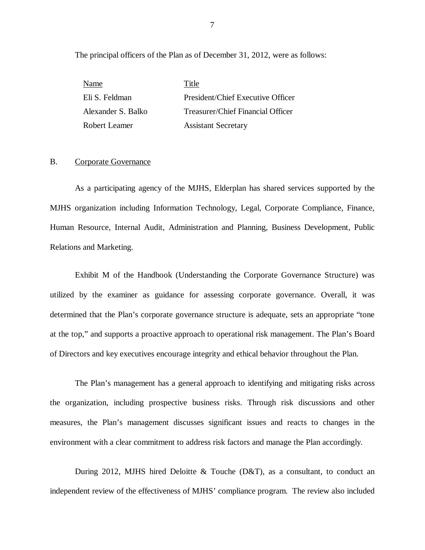The principal officers of the Plan as of December 31, 2012, were as follows:

| Name               | Title                             |
|--------------------|-----------------------------------|
| Eli S. Feldman     | President/Chief Executive Officer |
| Alexander S. Balko | Treasurer/Chief Financial Officer |
| Robert Leamer      | <b>Assistant Secretary</b>        |

### B. Corporate Governance

 As a participating agency of the MJHS, Elderplan has shared services supported by the MJHS organization including Information Technology, Legal, Corporate Compliance, Finance, Human Resource, Internal Audit, Administration and Planning, Business Development, Public Relations and Marketing.

Relations and Marketing.<br>Exhibit M of the Handbook (Understanding the Corporate Governance Structure) was utilized by the examiner as guidance for assessing corporate governance. Overall, it was determined that the Plan's corporate governance structure is adequate, sets an appropriate "tone at the top," and supports a proactive approach to operational risk management. The Plan's Board of Directors and key executives encourage integrity and ethical behavior throughout the Plan.

 The Plan's management has a general approach to identifying and mitigating risks across the organization, including prospective business risks. Through risk discussions and other measures, the Plan's management discusses significant issues and reacts to changes in the environment with a clear commitment to address risk factors and manage the Plan accordingly.

 During 2012, MJHS hired Deloitte & Touche (D&T), as a consultant, to conduct an independent review of the effectiveness of MJHS' compliance program. The review also included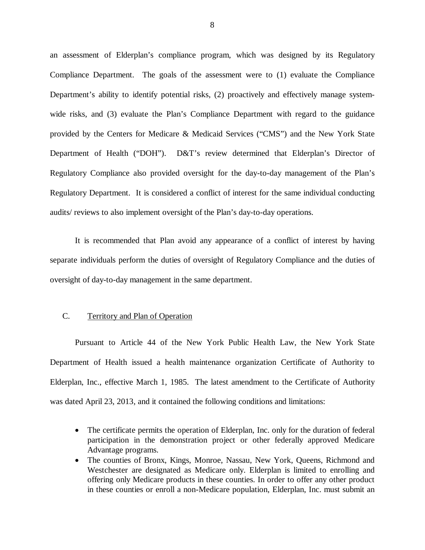<span id="page-9-0"></span> an assessment of Elderplan's compliance program, which was designed by its Regulatory Compliance Department. The goals of the assessment were to (1) evaluate the Compliance Department's ability to identify potential risks, (2) proactively and effectively manage system- wide risks, and (3) evaluate the Plan's Compliance Department with regard to the guidance provided by the Centers for Medicare & Medicaid Services ("CMS") and the New York State Department of Health ("DOH"). D&T's review determined that Elderplan's Director of Regulatory Compliance also provided oversight for the day-to-day management of the Plan's Regulatory Department. It is considered a conflict of interest for the same individual conducting audits/ reviews to also implement oversight of the Plan's day-to-day operations.

 It is recommended that Plan avoid any appearance of a conflict of interest by having separate individuals perform the duties of oversight of Regulatory Compliance and the duties of oversight of day-to-day management in the same department.

### C. Territory and Plan of Operation

 Pursuant to Article 44 of the New York Public Health Law, the New York State Department of Health issued a health maintenance organization Certificate of Authority to Elderplan, Inc., effective March 1, 1985. The latest amendment to the Certificate of Authority was dated April 23, 2013, and it contained the following conditions and limitations:

- The certificate permits the operation of Elderplan, Inc. only for the duration of federal participation in the demonstration project or other federally approved Medicare Advantage programs.
- The counties of Bronx, Kings, Monroe, Nassau, New York, Queens, Richmond and Westchester are designated as Medicare only. Elderplan is limited to enrolling and offering only Medicare products in these counties. In order to offer any other product in these counties or enroll a non-Medicare population, Elderplan, Inc. must submit an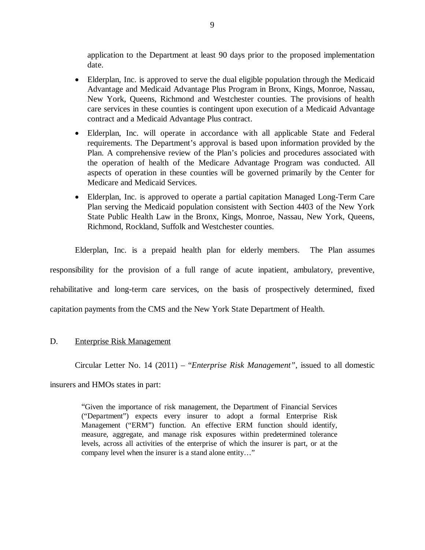<span id="page-10-0"></span> application to the Department at least 90 days prior to the proposed implementation date.

- Elderplan, Inc. is approved to serve the dual eligible population through the Medicaid Advantage and Medicaid Advantage Plus Program in Bronx, Kings, Monroe, Nassau, New York, Queens, Richmond and Westchester counties. The provisions of health care services in these counties is contingent upon execution of a Medicaid Advantage contract and a Medicaid Advantage Plus contract.
- Elderplan, Inc. will operate in accordance with all applicable State and Federal requirements. The Department's approval is based upon information provided by the Plan. A comprehensive review of the Plan's policies and procedures associated with the operation of health of the Medicare Advantage Program was conducted. All aspects of operation in these counties will be governed primarily by the Center for Medicare and Medicaid Services.
- Elderplan, Inc. is approved to operate a partial capitation Managed Long-Term Care Plan serving the Medicaid population consistent with Section 4403 of the New York State Public Health Law in the Bronx, Kings, Monroe, Nassau, New York, Queens, Richmond, Rockland, Suffolk and Westchester counties.

 Elderplan, Inc. is a prepaid health plan for elderly members. The Plan assumes responsibility for the provision of a full range of acute inpatient, ambulatory, preventive, rehabilitative and long-term care services, on the basis of prospectively determined, fixed capitation payments from the CMS and the New York State Department of Health.

### D. Enterprise Risk Management

Circular Letter No. 14 (2011) – "*Enterprise Risk Management"*, issued to all domestic

insurers and HMOs states in part:

 "Given the importance of risk management, the Department of Financial Services ("Department") expects every insurer to adopt a formal Enterprise Risk Management ("ERM") function. An effective ERM function should identify, measure, aggregate, and manage risk exposures within predetermined tolerance levels, across all activities of the enterprise of which the insurer is part, or at the company level when the insurer is a stand alone entity…"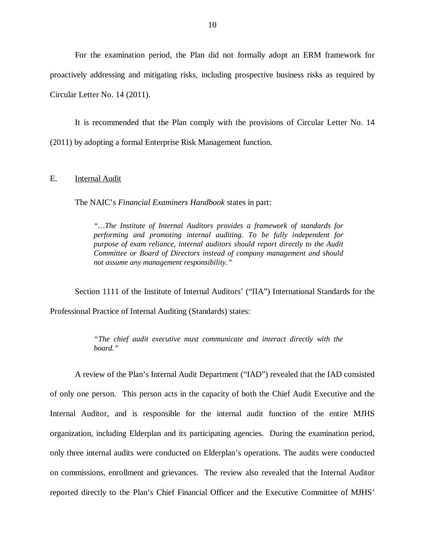<span id="page-11-0"></span> For the examination period, the Plan did not formally adopt an ERM framework for proactively addressing and mitigating risks, including prospective business risks as required by Circular Letter No. 14 (2011).

 (2011) by adopting a formal Enterprise Risk Management function. It is recommended that the Plan comply with the provisions of Circular Letter No. 14

### $E_{\cdot}$ **Internal Audit**

The NAIC's *Financial Examiners Handbook* states in part:

 *"…The Institute of Internal Auditors provides a framework of standards for performing and promoting internal auditing. To be fully independent for*  purpose of exam reliance, internal auditors should report directly to the Audit  *Committee or Board of Directors instead of company management and should not assume any management responsibility."* 

 Section 1111 of the Institute of Internal Auditors' ("IIA") International Standards for the Professional Practice of Internal Auditing (Standards) states:

> *"The chief audit executive must communicate and interact directly with the board."*

 A review of the Plan's Internal Audit Department ("IAD") revealed that the IAD consisted of only one person. This person acts in the capacity of both the Chief Audit Executive and the Internal Auditor, and is responsible for the internal audit function of the entire MJHS organization, including Elderplan and its participating agencies. During the examination period, only three internal audits were conducted on Elderplan's operations. The audits were conducted on commissions, enrollment and grievances. The review also revealed that the Internal Auditor reported directly to the Plan's Chief Financial Officer and the Executive Committee of MJHS'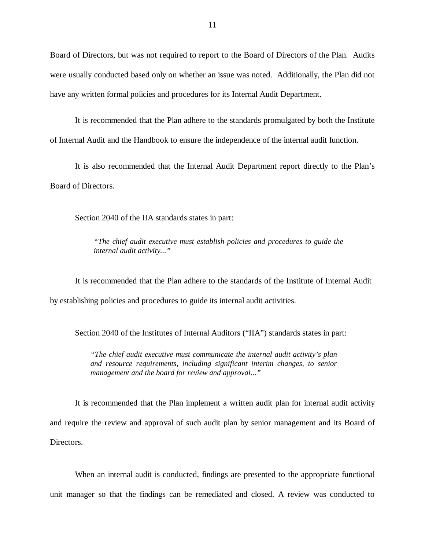Board of Directors, but was not required to report to the Board of Directors of the Plan. Audits were usually conducted based only on whether an issue was noted. Additionally, the Plan did not have any written formal policies and procedures for its Internal Audit Department.

 It is recommended that the Plan adhere to the standards promulgated by both the Institute of Internal Audit and the Handbook to ensure the independence of the internal audit function.

 It is also recommended that the Internal Audit Department report directly to the Plan's Board of Directors.

Section 2040 of the IIA standards states in part:

 *"The chief audit executive must establish policies and procedures to guide the internal audit activity..."* 

 It is recommended that the Plan adhere to the standards of the Institute of Internal Audit by establishing policies and procedures to guide its internal audit activities.

Section 2040 of the Institutes of Internal Auditors ("IIA") standards states in part:

 *"The chief audit executive must communicate the internal audit activity's plan and resource requirements, including significant interim changes, to senior management and the board for review and approval..."* 

 It is recommended that the Plan implement a written audit plan for internal audit activity and require the review and approval of such audit plan by senior management and its Board of Directors.

 When an internal audit is conducted, findings are presented to the appropriate functional unit manager so that the findings can be remediated and closed. A review was conducted to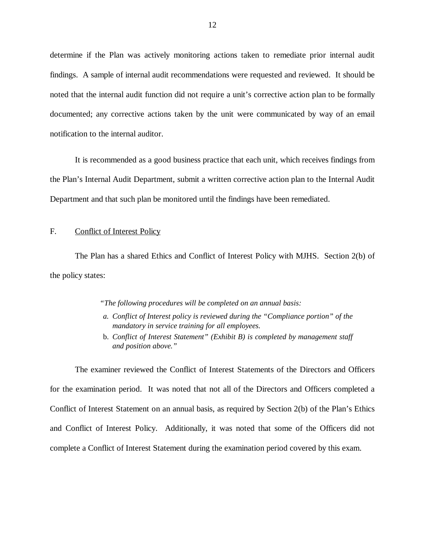<span id="page-13-0"></span> determine if the Plan was actively monitoring actions taken to remediate prior internal audit findings. A sample of internal audit recommendations were requested and reviewed. It should be noted that the internal audit function did not require a unit's corrective action plan to be formally documented; any corrective actions taken by the unit were communicated by way of an email notification to the internal auditor.

 It is recommended as a good business practice that each unit, which receives findings from the Plan's Internal Audit Department, submit a written corrective action plan to the Internal Audit Department and that such plan be monitored until the findings have been remediated.

### F. Conflict of Interest Policy

 The Plan has a shared Ethics and Conflict of Interest Policy with MJHS. Section 2(b) of the policy states:

 *"The following procedures will be completed on an annual basis:* 

- *a. Conflict of Interest policy is reviewed during the "Compliance portion" of the mandatory in service training for all employees.*
- **b.** Conflict of Interest Statement" (Exhibit B) is completed by management staff *and position above."*

 The examiner reviewed the Conflict of Interest Statements of the Directors and Officers for the examination period. It was noted that not all of the Directors and Officers completed a Conflict of Interest Statement on an annual basis, as required by Section 2(b) of the Plan's Ethics and Conflict of Interest Policy. Additionally, it was noted that some of the Officers did not complete a Conflict of Interest Statement during the examination period covered by this exam.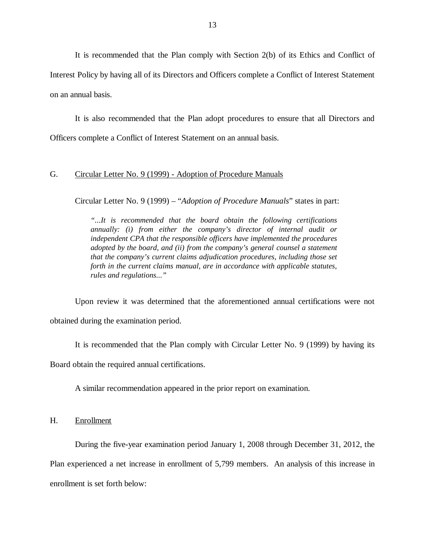<span id="page-14-0"></span> It is recommended that the Plan comply with Section 2(b) of its Ethics and Conflict of Interest Policy by having all of its Directors and Officers complete a Conflict of Interest Statement on an annual basis.

 It is also recommended that the Plan adopt procedures to ensure that all Directors and Officers complete a Conflict of Interest Statement on an annual basis.

### $G_{\cdot}$ Circular Letter No. 9 (1999) - Adoption of Procedure Manuals

Circular Letter No. 9 (1999) – "*Adoption of Procedure Manuals*" states in part:

 *"...It is recommended that the board obtain the following certifications annually: (i) from either the company's director of internal audit or independent CPA that the responsible officers have implemented the procedures adopted by the board, and (ii) from the company's general counsel a statement that the company's current claims adjudication procedures, including those set*  forth in the current claims manual, are in accordance with applicable statutes, *rules and regulations..."* 

 Upon review it was determined that the aforementioned annual certifications were not obtained during the examination period.

It is recommended that the Plan comply with Circular Letter No. 9 (1999) by having its

Board obtain the required annual certifications.

A similar recommendation appeared in the prior report on examination.

H. Enrollment

 Plan experienced a net increase in enrollment of 5,799 members. An analysis of this increase in enrollment is set forth below: During the five-year examination period January 1, 2008 through December 31, 2012, the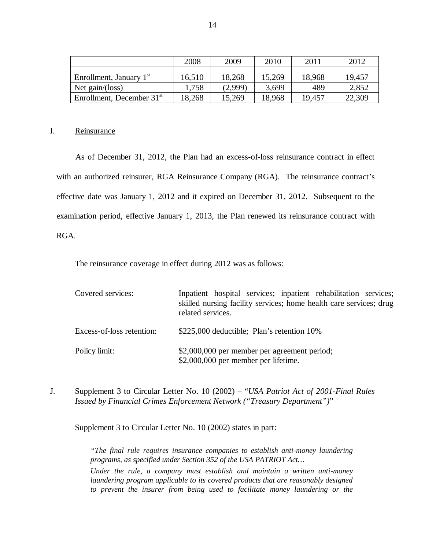|                             | 2008   | 2009    | <u>2010</u> | 2011   | <u>2012</u> |
|-----------------------------|--------|---------|-------------|--------|-------------|
|                             |        |         |             |        |             |
| Enrollment, January $1st$   | 16,510 | 18,268  | 15,269      | 18,968 | 19,457      |
| Net gain/(loss)             | 1,758  | (2,999) | 3,699       | 489    | 2,852       |
| Enrollment, December $31st$ | 18,268 | 15,269  | 18,968      | 19,457 | 22,309      |

### Reinsurance

I. Reinsurance<br>As of December 31, 2012, the Plan had an excess-of-loss reinsurance contract in effect with an authorized reinsurer, RGA Reinsurance Company (RGA). The reinsurance contract's effective date was January 1, 2012 and it expired on December 31, 2012. Subsequent to the examination period, effective January 1, 2013, the Plan renewed its reinsurance contract with RGA. RGA.<br>The reinsurance coverage in effect during 2012 was as follows:

| Covered services:         | Inpatient hospital services; inpatient rehabilitation services;<br>skilled nursing facility services; home health care services; drug<br>related services. |
|---------------------------|------------------------------------------------------------------------------------------------------------------------------------------------------------|
| Excess-of-loss retention: | \$225,000 deductible; Plan's retention 10%                                                                                                                 |
| Policy limit:             | \$2,000,000 per member per agreement period;<br>\$2,000,000 per member per lifetime.                                                                       |

 J. Supplement 3 to Circular Letter No. 10 (2002) – "*USA Patriot Act of 2001-Final Rules Issued by Financial Crimes Enforcement Network ("Treasury Department")*"

Supplement 3 to Circular Letter No. 10 (2002) states in part:

 *"The final rule requires insurance companies to establish anti-money laundering programs, as specified under Section 352 of the USA PATRIOT Act…* 

 *Under the rule, a company must establish and maintain a written anti-money*  laundering program applicable to its covered products that are reasonably designed  *to prevent the insurer from being used to facilitate money laundering or the*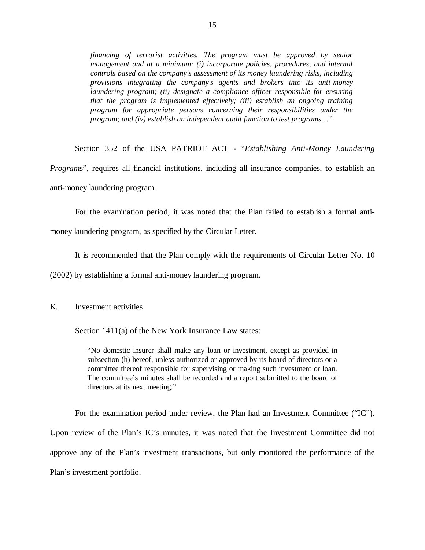<span id="page-16-0"></span>financing of terrorist activities. The program must be approved by senior management and at a minimum: (i) incorporate policies, procedures, and internal  *controls based on the company's assessment of its money laundering risks, including provisions integrating the company's agents and brokers into its anti-money*  laundering program; (ii) designate a compliance officer responsible for ensuring  *that the program is implemented effectively; (iii) establish an ongoing training program for appropriate persons concerning their responsibilities under the program; and (iv) establish an independent audit function to test programs…"* 

 Section 352 of the USA PATRIOT ACT - "*Establishing Anti-Money Laundering Program*s", requires all financial institutions, including all insurance companies, to establish an anti-money laundering program.

 money laundering program, as specified by the Circular Letter. For the examination period, it was noted that the Plan failed to establish a formal anti-

It is recommended that the Plan comply with the requirements of Circular Letter No. 10

(2002) by establishing a formal anti-money laundering program.

### K. **Investment activities**

Section 1411(a) of the New York Insurance Law states:

 "No domestic insurer shall make any loan or investment, except as provided in subsection (h) hereof, unless authorized or approved by its board of directors or a committee thereof responsible for supervising or making such investment or loan. The committee's minutes shall be recorded and a report submitted to the board of directors at its next meeting."

 For the examination period under review, the Plan had an Investment Committee ("IC"). Upon review of the Plan's IC's minutes, it was noted that the Investment Committee did not approve any of the Plan's investment transactions, but only monitored the performance of the Plan's investment portfolio.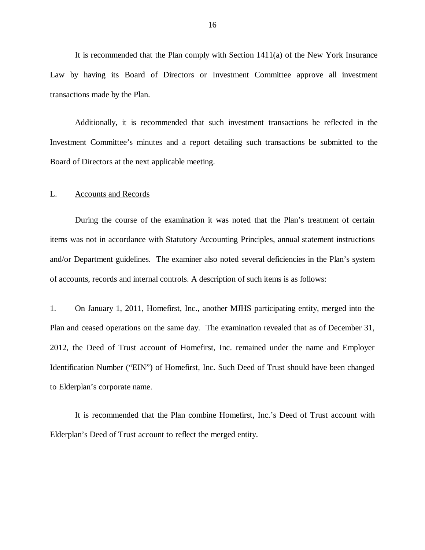<span id="page-17-0"></span> Law by having its Board of Directors or Investment Committee approve all investment transactions made by the Plan. It is recommended that the Plan comply with Section 1411(a) of the New York Insurance

 Additionally, it is recommended that such investment transactions be reflected in the Investment Committee's minutes and a report detailing such transactions be submitted to the Board of Directors at the next applicable meeting.

### L. Accounts and Records

 During the course of the examination it was noted that the Plan's treatment of certain items was not in accordance with Statutory Accounting Principles, annual statement instructions and/or Department guidelines. The examiner also noted several deficiencies in the Plan's system of accounts, records and internal controls. A description of such items is as follows:

 $1<sup>1</sup>$  Plan and ceased operations on the same day. The examination revealed that as of December 31, 2012, the Deed of Trust account of Homefirst, Inc. remained under the name and Employer Identification Number ("EIN") of Homefirst, Inc. Such Deed of Trust should have been changed to Elderplan's corporate name. 1. On January 1, 2011, Homefirst, Inc., another MJHS participating entity, merged into the

 It is recommended that the Plan combine Homefirst, Inc.'s Deed of Trust account with Elderplan's Deed of Trust account to reflect the merged entity.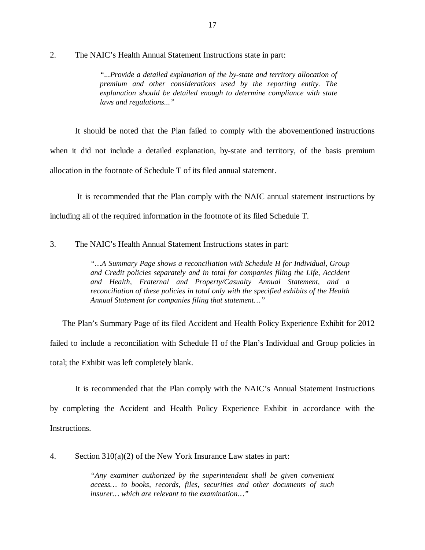$\overline{2}$ . 2. The NAIC's Health Annual Statement Instructions state in part:

> *"...Provide a detailed explanation of the by-state and territory allocation of premium and other considerations used by the reporting entity. The*  explanation should be detailed enough to determine compliance with state *laws and regulations..."*

 It should be noted that the Plan failed to comply with the abovementioned instructions when it did not include a detailed explanation, by-state and territory, of the basis premium allocation in the footnote of Schedule T of its filed annual statement.

 It is recommended that the Plan comply with the NAIC annual statement instructions by including all of the required information in the footnote of its filed Schedule T.

3. The NAIC's Health Annual Statement Instructions states in part:

 *"…A Summary Page shows a reconciliation with Schedule H for Individual, Group*  and Credit policies separately and in total for companies filing the Life, Accident  *and Health, Fraternal and Property/Casualty Annual Statement, and a reconciliation of these policies in total only with the specified exhibits of the Health Annual Statement for companies filing that statement…"* 

 The Plan's Summary Page of its filed Accident and Health Policy Experience Exhibit for 2012 failed to include a reconciliation with Schedule H of the Plan's Individual and Group policies in total; the Exhibit was left completely blank.

 by completing the Accident and Health Policy Experience Exhibit in accordance with the Instructions. It is recommended that the Plan comply with the NAIC's Annual Statement Instructions

Instructions.<br>4. Section 310(a)(2) of the New York Insurance Law states in part:

 *"Any examiner authorized by the superintendent shall be given convenient*  access... to books, records, files, securities and other documents of such  *insurer… which are relevant to the examination…"*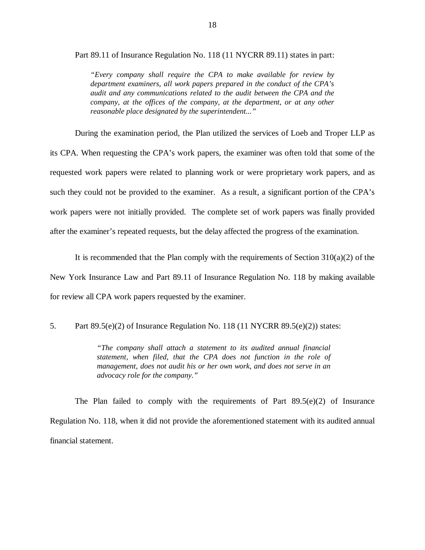Part 89.11 of Insurance Regulation No. 118 (11 NYCRR 89.11) states in part:

 *"Every company shall require the CPA to make available for review by department examiners, all work papers prepared in the conduct of the CPA's audit and any communications related to the audit between the CPA and the*  company, at the offices of the company, at the department, or at any other  *reasonable place designated by the superintendent..."* 

 During the examination period, the Plan utilized the services of Loeb and Troper LLP as its CPA. When requesting the CPA's work papers, the examiner was often told that some of the requested work papers were related to planning work or were proprietary work papers, and as such they could not be provided to the examiner. As a result, a significant portion of the CPA's work papers were not initially provided. The complete set of work papers was finally provided after the examiner's repeated requests, but the delay affected the progress of the examination.

 New York Insurance Law and Part 89.11 of Insurance Regulation No. 118 by making available for review all CPA work papers requested by the examiner. It is recommended that the Plan comply with the requirements of Section  $310(a)(2)$  of the

5. Part 89.5(e)(2) of Insurance Regulation No. 118 (11 NYCRR 89.5(e)(2)) states:

 *"The company shall attach a statement to its audited annual financial statement, when filed, that the CPA does not function in the role of management, does not audit his or her own work, and does not serve in an advocacy role for the company."* 

 The Plan failed to comply with the requirements of Part 89.5(e)(2) of Insurance Regulation No. 118, when it did not provide the aforementioned statement with its audited annual financial statement.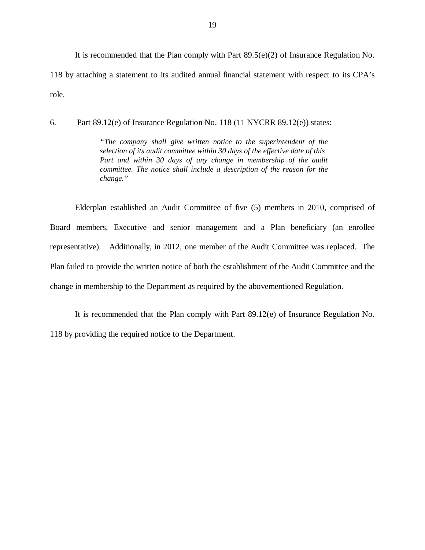It is recommended that the Plan comply with Part 89.5(e)(2) of Insurance Regulation No. 118 by attaching a statement to its audited annual financial statement with respect to its CPA's role.

6. Part 89.12(e) of Insurance Regulation No. 118 (11 NYCRR 89.12(e)) states:

 *"The company shall give written notice to the superintendent of the selection of its audit committee within 30 days of the effective date of this*  Part and within 30 days of any change in membership of the audit  *committee. The notice shall include a description of the reason for the change."* 

 Elderplan established an Audit Committee of five (5) members in 2010, comprised of Board members, Executive and senior management and a Plan beneficiary (an enrollee representative). Additionally, in 2012, one member of the Audit Committee was replaced. The Plan failed to provide the written notice of both the establishment of the Audit Committee and the change in membership to the Department as required by the abovementioned Regulation.

 118 by providing the required notice to the Department. It is recommended that the Plan comply with Part 89.12(e) of Insurance Regulation No.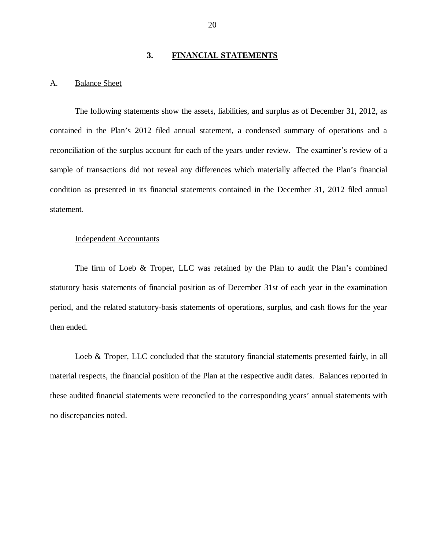### **3. FINANCIAL STATEMENTS**

### <span id="page-21-0"></span>A. **Balance Sheet**

 The following statements show the assets, liabilities, and surplus as of December 31, 2012, as contained in the Plan's 2012 filed annual statement, a condensed summary of operations and a reconciliation of the surplus account for each of the years under review. The examiner's review of a sample of transactions did not reveal any differences which materially affected the Plan's financial condition as presented in its financial statements contained in the December 31, 2012 filed annual statement.

### Independent Accountants

 The firm of Loeb & Troper, LLC was retained by the Plan to audit the Plan's combined statutory basis statements of financial position as of December 31st of each year in the examination period, and the related statutory-basis statements of operations, surplus, and cash flows for the year then ended.

Loeb & Troper, LLC concluded that the statutory financial statements presented fairly, in all material respects, the financial position of the Plan at the respective audit dates. Balances reported in these audited financial statements were reconciled to the corresponding years' annual statements with no discrepancies noted.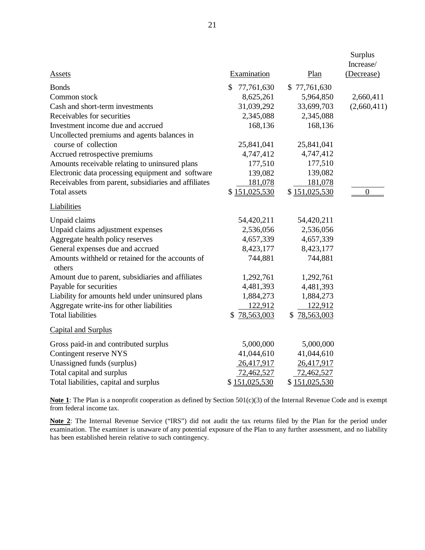| <b>Assets</b>                                              | Examination      | Plan          | Surplus<br>Increase/<br>(Decrease) |
|------------------------------------------------------------|------------------|---------------|------------------------------------|
| <b>Bonds</b>                                               | \$<br>77,761,630 | \$77,761,630  |                                    |
| Common stock                                               | 8,625,261        | 5,964,850     | 2,660,411                          |
| Cash and short-term investments                            | 31,039,292       | 33,699,703    | (2,660,411)                        |
| Receivables for securities                                 | 2,345,088        | 2,345,088     |                                    |
| Investment income due and accrued                          | 168,136          | 168,136       |                                    |
| Uncollected premiums and agents balances in                |                  |               |                                    |
| course of collection                                       | 25,841,041       | 25,841,041    |                                    |
| Accrued retrospective premiums                             | 4,747,412        | 4,747,412     |                                    |
| Amounts receivable relating to uninsured plans             | 177,510          | 177,510       |                                    |
| Electronic data processing equipment and software          | 139,082          | 139,082       |                                    |
| Receivables from parent, subsidiaries and affiliates       | 181,078          | 181,078       |                                    |
| <b>Total assets</b>                                        | \$151,025,530    | \$151,025,530 | $\overline{0}$                     |
| <b>Liabilities</b>                                         |                  |               |                                    |
| Unpaid claims                                              | 54,420,211       | 54,420,211    |                                    |
| Unpaid claims adjustment expenses                          | 2,536,056        | 2,536,056     |                                    |
| Aggregate health policy reserves                           | 4,657,339        | 4,657,339     |                                    |
| General expenses due and accrued                           | 8,423,177        | 8,423,177     |                                    |
| Amounts withheld or retained for the accounts of<br>others | 744,881          | 744,881       |                                    |
| Amount due to parent, subsidiaries and affiliates          | 1,292,761        | 1,292,761     |                                    |
| Payable for securities                                     | 4,481,393        | 4,481,393     |                                    |
| Liability for amounts held under uninsured plans           | 1,884,273        | 1,884,273     |                                    |
| Aggregate write-ins for other liabilities                  | 122,912          | 122,912       |                                    |
| <b>Total liabilities</b>                                   | 78,563,003<br>\$ | \$78,563,003  |                                    |
| <b>Capital and Surplus</b>                                 |                  |               |                                    |
| Gross paid-in and contributed surplus                      | 5,000,000        | 5,000,000     |                                    |
| Contingent reserve NYS                                     | 41,044,610       | 41,044,610    |                                    |
| Unassigned funds (surplus)                                 | 26,417,917       | 26,417,917    |                                    |
| Total capital and surplus                                  | 72,462,527       | 72,462,527    |                                    |
| Total liabilities, capital and surplus                     | \$151,025,530    | \$151,025,530 |                                    |

 **Note 1**: The Plan is a nonprofit cooperation as defined by Section 501(c)(3) of the Internal Revenue Code and is exempt from federal income tax.

 **Note 2**: The Internal Revenue Service ("IRS") did not audit the tax returns filed by the Plan for the period under examination. The examiner is unaware of any potential exposure of the Plan to any further assessment, and no liability has been established herein relative to such contingency.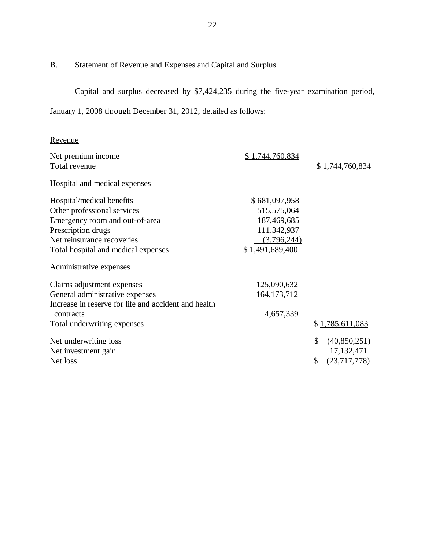### <span id="page-23-0"></span>B. Statement of Revenue and Expenses and Capital and Surplus

 Capital and surplus decreased by \$7,424,235 during the five-year examination period, January 1, 2008 through December 31, 2012, detailed as follows:

## Revenue

| Net premium income                                   | \$1,744,760,834 |                    |
|------------------------------------------------------|-----------------|--------------------|
| Total revenue                                        |                 | \$1,744,760,834    |
| <b>Hospital and medical expenses</b>                 |                 |                    |
| Hospital/medical benefits                            | \$681,097,958   |                    |
| Other professional services                          | 515,575,064     |                    |
| Emergency room and out-of-area                       | 187,469,685     |                    |
| Prescription drugs                                   | 111,342,937     |                    |
| Net reinsurance recoveries                           | (3,796,244)     |                    |
| Total hospital and medical expenses                  | \$1,491,689,400 |                    |
| Administrative expenses                              |                 |                    |
| Claims adjustment expenses                           | 125,090,632     |                    |
| General administrative expenses                      | 164, 173, 712   |                    |
| Increase in reserve for life and accident and health |                 |                    |
| contracts                                            | 4,657,339       |                    |
| Total underwriting expenses                          |                 | \$1,785,611,083    |
| Net underwriting loss                                |                 | \$<br>(40,850,251) |
| Net investment gain                                  |                 | 17, 132, 471       |
| Net loss                                             |                 | (23,717,778)       |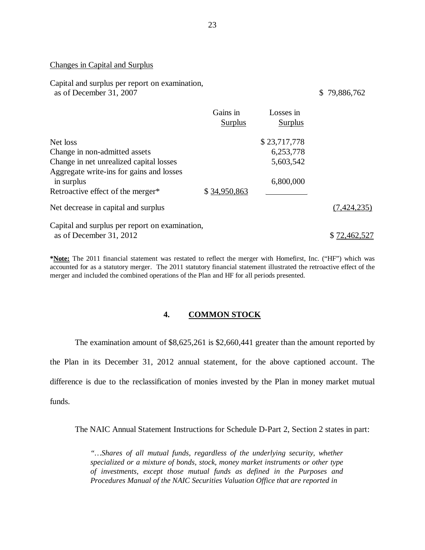### Changes in Capital and Surplus

 Capital and surplus per report on examination, as of December 31, 2007 \$ 79,886,762

|                                                        | Gains in<br><b>Surplus</b> | Losses in<br><b>Surplus</b> |              |
|--------------------------------------------------------|----------------------------|-----------------------------|--------------|
| Net loss                                               |                            | \$23,717,778                |              |
| Change in non-admitted assets                          |                            | 6,253,778                   |              |
| Change in net unrealized capital losses                |                            | 5,603,542                   |              |
| Aggregate write-ins for gains and losses<br>in surplus |                            | 6,800,000                   |              |
| Retroactive effect of the merger*                      | \$34,950,863               |                             |              |
| Net decrease in capital and surplus                    |                            |                             | (7,424,235)  |
| Capital and surplus per report on examination,         |                            |                             |              |
| as of December 31, 2012                                |                            |                             | \$72,462,527 |

 **\*Note:** The 2011 financial statement was restated to reflect the merger with Homefirst, Inc. ("HF") which was accounted for as a statutory merger. The 2011 statutory financial statement illustrated the retroactive effect of the merger and included the combined operations of the Plan and HF for all periods presented.

### **4. COMMON STOCK**

 The examination amount of \$8,625,261 is \$2,660,441 greater than the amount reported by the Plan in its December 31, 2012 annual statement, for the above captioned account. The difference is due to the reclassification of monies invested by the Plan in money market mutual funds.

The NAIC Annual Statement Instructions for Schedule D-Part 2, Section 2 states in part:

 *"…Shares of all mutual funds, regardless of the underlying security, whether specialized or a mixture of bonds, stock, money market instruments or other type of investments, except those mutual funds as defined in the Purposes and Procedures Manual of the NAIC Securities Valuation Office that are reported in*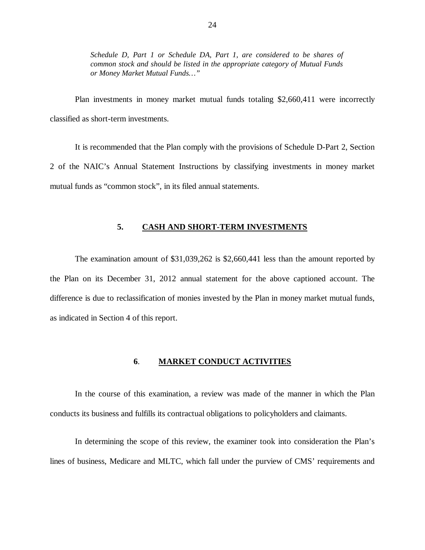<span id="page-25-0"></span>Schedule D, Part 1 or Schedule DA, Part 1, are considered to be shares of  *common stock and should be listed in the appropriate category of Mutual Funds or Money Market Mutual Funds…"* 

 Plan investments in money market mutual funds totaling \$2,660,411 were incorrectly classified as short-term investments.

 It is recommended that the Plan comply with the provisions of Schedule D-Part 2, Section 2 of the NAIC's Annual Statement Instructions by classifying investments in money market mutual funds as "common stock", in its filed annual statements.

### **5. CASH AND SHORT-TERM INVESTMENTS**

 The examination amount of \$31,039,262 is \$2,660,441 less than the amount reported by the Plan on its December 31, 2012 annual statement for the above captioned account. The difference is due to reclassification of monies invested by the Plan in money market mutual funds, as indicated in Section 4 of this report.

### **6**. **MARKET CONDUCT ACTIVITIES**

 In the course of this examination, a review was made of the manner in which the Plan conducts its business and fulfills its contractual obligations to policyholders and claimants.

 In determining the scope of this review, the examiner took into consideration the Plan's lines of business, Medicare and MLTC, which fall under the purview of CMS' requirements and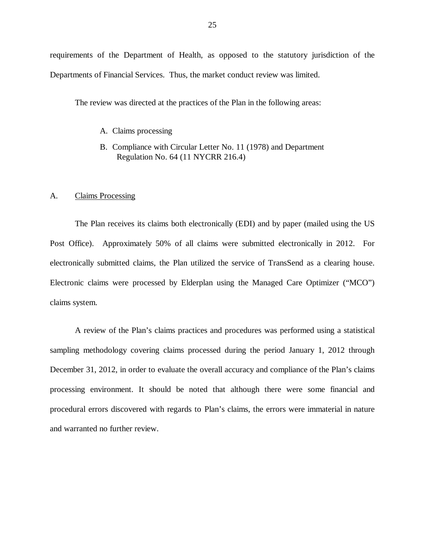requirements of the Department of Health, as opposed to the statutory jurisdiction of the Departments of Financial Services. Thus, the market conduct review was limited.

The review was directed at the practices of the Plan in the following areas:

- A. Claims processing
- B. Compliance with Circular Letter No. 11 (1978) and Department Regulation No. 64 (11 NYCRR 216.4)

### $A<sub>1</sub>$ Claims Processing

 The Plan receives its claims both electronically (EDI) and by paper (mailed using the US Post Office). Approximately 50% of all claims were submitted electronically in 2012. For electronically submitted claims, the Plan utilized the service of TransSend as a clearing house. Electronic claims were processed by Elderplan using the Managed Care Optimizer ("MCO") claims system.

 A review of the Plan's claims practices and procedures was performed using a statistical sampling methodology covering claims processed during the period January 1, 2012 through December 31, 2012, in order to evaluate the overall accuracy and compliance of the Plan's claims processing environment. It should be noted that although there were some financial and procedural errors discovered with regards to Plan's claims, the errors were immaterial in nature and warranted no further review.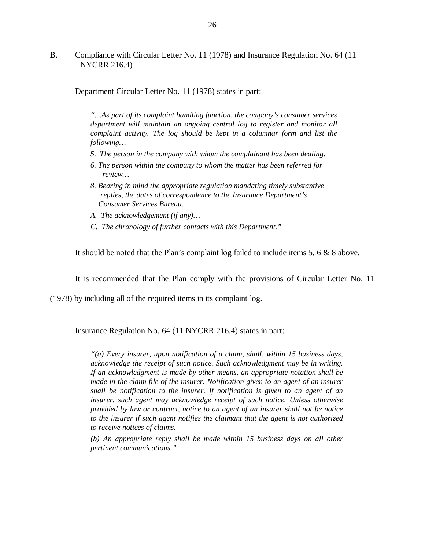### B. Compliance with Circular Letter No. 11 (1978) and Insurance Regulation No. 64 (11) NYCRR 216.4)

Department Circular Letter No. 11 (1978) states in part:

 *"…As part of its complaint handling function, the company's consumer services department will maintain an ongoing central log to register and monitor all complaint activity. The log should be kept in a columnar form and list the following…* 

- *5. The person in the company with whom the complainant has been dealing.*
- *6. The person within the company to whom the matter has been referred for review…*
- *8. Bearing in mind the appropriate regulation mandating timely substantive replies, the dates of correspondence to the Insurance Department's Consumer Services Bureau.*
- *A. The acknowledgement (if any)…*
- *C. The chronology of further contacts with this Department."*

It should be noted that the Plan's complaint log failed to include items 5, 6 & 8 above.

It is recommended that the Plan comply with the provisions of Circular Letter No. 11

(1978) by including all of the required items in its complaint log.

Insurance Regulation No. 64 (11 NYCRR 216.4) states in part:

 *"(a) Every insurer, upon notification of a claim, shall, within 15 business days, acknowledge the receipt of such notice. Such acknowledgment may be in writing. If an acknowledgment is made by other means, an appropriate notation shall be made in the claim file of the insurer. Notification given to an agent of an insurer shall be notification to the insurer. If notification is given to an agent of an insurer, such agent may acknowledge receipt of such notice. Unless otherwise provided by law or contract, notice to an agent of an insurer shall not be notice to the insurer if such agent notifies the claimant that the agent is not authorized to receive notices of claims.* 

 *(b) An appropriate reply shall be made within 15 business days on all other pertinent communications."*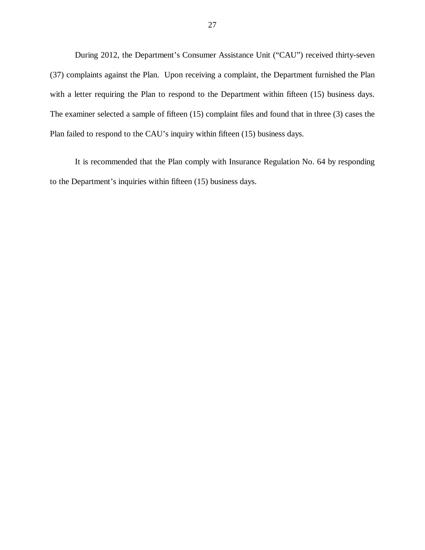During 2012, the Department's Consumer Assistance Unit ("CAU") received thirty-seven (37) complaints against the Plan. Upon receiving a complaint, the Department furnished the Plan with a letter requiring the Plan to respond to the Department within fifteen (15) business days. The examiner selected a sample of fifteen (15) complaint files and found that in three (3) cases the Plan failed to respond to the CAU's inquiry within fifteen (15) business days.

 to the Department's inquiries within fifteen (15) business days. It is recommended that the Plan comply with Insurance Regulation No. 64 by responding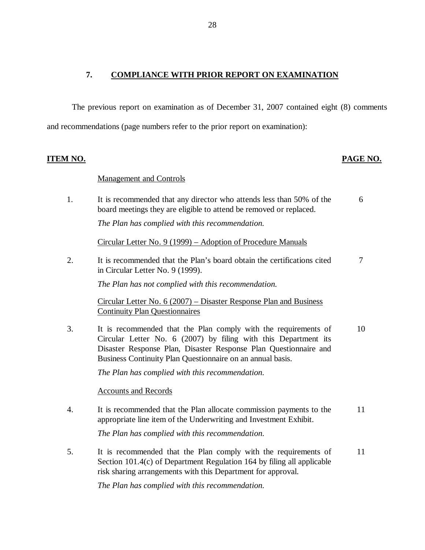### <span id="page-29-0"></span> **7. COMPLIANCE WITH PRIOR REPORT ON EXAMINATION**

 The previous report on examination as of December 31, 2007 contained eight (8) comments and recommendations (page numbers refer to the prior report on examination):

### **ITEM NO. PAGE NO.**

### Management and Controls

1. board meetings they are eligible to attend be removed or replaced.  *The Plan has complied with this recommendation.*  It is recommended that any director who attends less than 50% of the 6

Circular Letter No. 9 (1999) – Adoption of Procedure Manuals

 $\overline{2}$ . in Circular Letter No. 9 (1999). It is recommended that the Plan's board obtain the certifications cited  $\frac{7}{7}$ 

 *The Plan has not complied with this recommendation.* 

 Circular Letter No. 6 (2007) – Disaster Response Plan and Business Continuity Plan Questionnaires

 $3.$  Circular Letter No. 6 (2007) by filing with this Department its Disaster Response Plan, Disaster Response Plan Questionnaire and Business Continuity Plan Questionnaire on an annual basis. It is recommended that the Plan comply with the requirements of 10

 *The Plan has complied with this recommendation.* 

### Accounts and Records

- 4. appropriate line item of the Underwriting and Investment Exhibit.  *The Plan has complied with this recommendation.*  It is recommended that the Plan allocate commission payments to the 11
- 5. Section 101.4(c) of Department Regulation 164 by filing all applicable risk sharing arrangements with this Department for approval. It is recommended that the Plan comply with the requirements of 11

 *The Plan has complied with this recommendation.*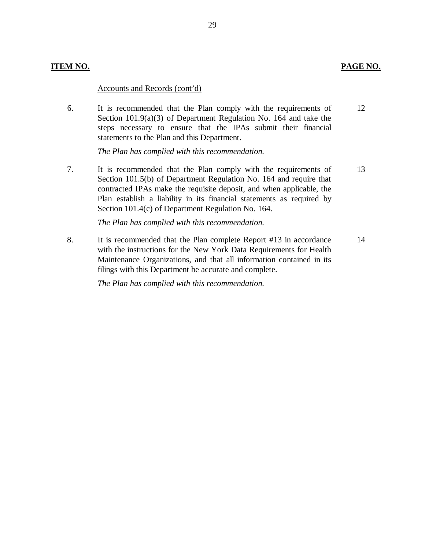### **ITEM NO. PAGE NO.**

### Accounts and Records (cont'd)

 Section 101.9(a)(3) of Department Regulation No. 164 and take the steps necessary to ensure that the IPAs submit their financial statements to the Plan and this Department. 6. It is recommended that the Plan comply with the requirements of 12

 *The Plan has complied with this recommendation.* 

7. Section 101.5(b) of Department Regulation No. 164 and require that contracted IPAs make the requisite deposit, and when applicable, the Plan establish a liability in its financial statements as required by Section 101.4(c) of Department Regulation No. 164. It is recommended that the Plan comply with the requirements of 13

 *The Plan has complied with this recommendation.* 

8. with the instructions for the New York Data Requirements for Health Maintenance Organizations, and that all information contained in its filings with this Department be accurate and complete. It is recommended that the Plan complete Report #13 in accordance 14

 *The Plan has complied with this recommendation.*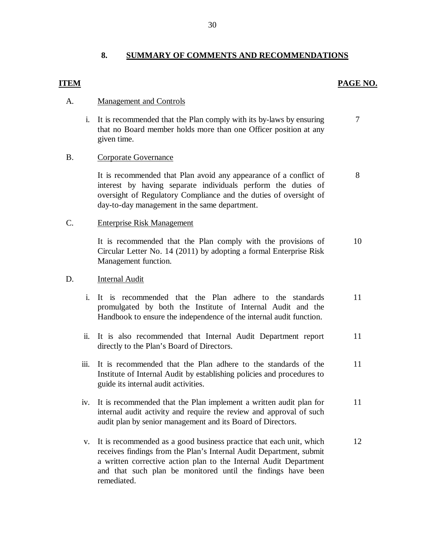### **8. SUMMARY OF COMMENTS AND RECOMMENDATIONS**

### **PAGE NO. PAGE NO.**

8

### A. Management and Controls

 i. It is recommended that the Plan comply with its by-laws by ensuring that no Board member holds more than one Officer position at any given time. 7

### B. Corporate Governance

 interest by having separate individuals perform the duties of oversight of Regulatory Compliance and the duties of oversight of day-to-day management in the same department. It is recommended that Plan avoid any appearance of a conflict of

### C. Enterprise Risk Management

 It is recommended that the Plan comply with the provisions of Circular Letter No. 14 (2011) by adopting a formal Enterprise Risk Management function. 10

### D. **Internal Audit**

- i. It is recommended that the Plan adhere to the standards promulgated by both the Institute of Internal Audit and the Handbook to ensure the independence of the internal audit function. 11
- ii. It is also recommended that Internal Audit Department report directly to the Plan's Board of Directors. 11
- iii. It is recommended that the Plan adhere to the standards of the Institute of Internal Audit by establishing policies and procedures to guide its internal audit activities. 11
- iv. It is recommended that the Plan implement a written audit plan for internal audit activity and require the review and approval of such audit plan by senior management and its Board of Directors. 11
- v. It is recommended as a good business practice that each unit, which receives findings from the Plan's Internal Audit Department, submit a written corrective action plan to the Internal Audit Department and that such plan be monitored until the findings have been remediated. 12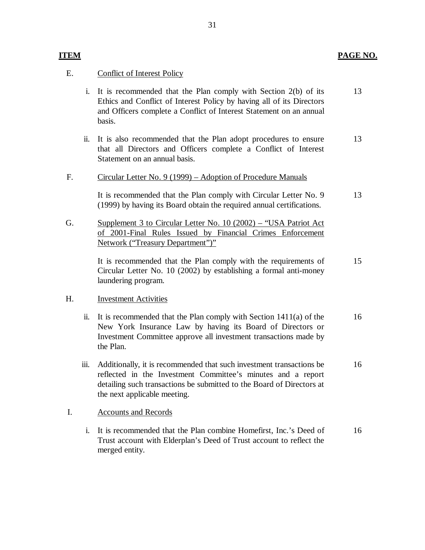### **ITEM PAGE NO.**

## E. Conflict of Interest Policy

- i. It is recommended that the Plan comply with Section 2(b) of its Ethics and Conflict of Interest Policy by having all of its Directors and Officers complete a Conflict of Interest Statement on an annual basis. 13
- ii. It is also recommended that the Plan adopt procedures to ensure that all Directors and Officers complete a Conflict of Interest Statement on an annual basis. 13

### F. Circular Letter No. 9 (1999) – Adoption of Procedure Manuals

 (1999) by having its Board obtain the required annual certifications. It is recommended that the Plan comply with Circular Letter No. 9 13

G. Supplement 3 to Circular Letter No. 10 (2002) – "USA Patriot Act of 2001-Final Rules Issued by Financial Crimes Enforcement Network ("Treasury Department")"

> Circular Letter No. 10 (2002) by establishing a formal anti-money It is recommended that the Plan comply with the requirements of laundering program. 15

### H. **Investment Activities**

- ii. It is recommended that the Plan comply with Section 1411(a) of the New York Insurance Law by having its Board of Directors or Investment Committee approve all investment transactions made by the Plan. 16
- iii. Additionally, it is recommended that such investment transactions be reflected in the Investment Committee's minutes and a report detailing such transactions be submitted to the Board of Directors at the next applicable meeting. 16

### I. Accounts and Records

 i. It is recommended that the Plan combine Homefirst, Inc.'s Deed of Trust account with Elderplan's Deed of Trust account to reflect the merged entity. 16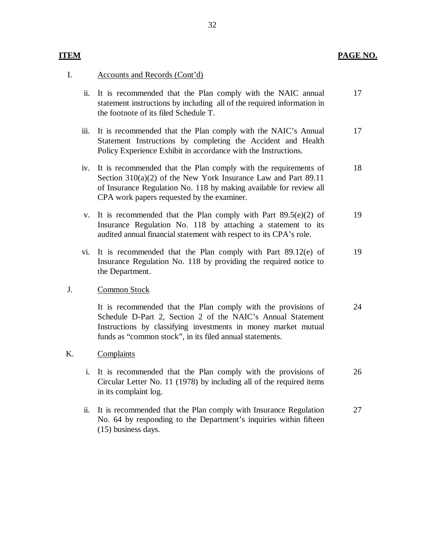### **ITEM PAGE NO.**

## I. Accounts and Records (Cont'd)

- ii. It is recommended that the Plan comply with the NAIC annual statement instructions by including all of the required information in the footnote of its filed Schedule T. 17
- iii. It is recommended that the Plan comply with the NAIC's Annual Statement Instructions by completing the Accident and Health Policy Experience Exhibit in accordance with the Instructions. 17
- iv. It is recommended that the Plan comply with the requirements of Section 310(a)(2) of the New York Insurance Law and Part 89.11 of Insurance Regulation No. 118 by making available for review all CPA work papers requested by the examiner. 18
- v. It is recommended that the Plan comply with Part  $89.5(e)(2)$  of Insurance Regulation No. 118 by attaching a statement to its audited annual financial statement with respect to its CPA's role. 19
- vi. It is recommended that the Plan comply with Part 89.12(e) of Insurance Regulation No. 118 by providing the required notice to the Department. 19

### J. Common Stock

 Schedule D-Part 2, Section 2 of the NAIC's Annual Statement Instructions by classifying investments in money market mutual funds as "common stock", in its filed annual statements. It is recommended that the Plan comply with the provisions of 24

### K. Complaints

- i. It is recommended that the Plan comply with the provisions of Circular Letter No. 11 (1978) by including all of the required items in its complaint log. 26
- ii. It is recommended that the Plan comply with Insurance Regulation No. 64 by responding to the Department's inquiries within fifteen (15) business days. 27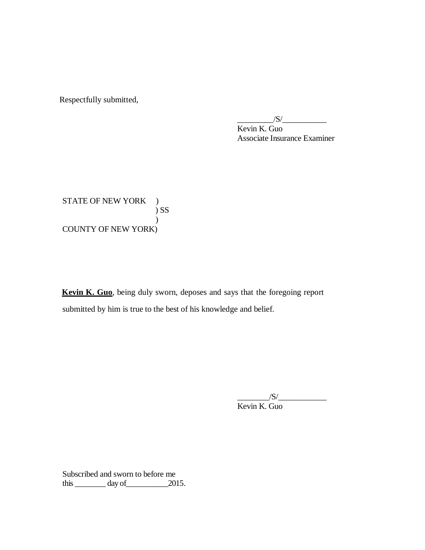Respectfully submitted,

 Kevin K. Guo Associate Insurance Examiner  $\frac{|S|}{|S|}$ 

STATE OF NEW YORK ) COUNTY OF NEW YORK) ) SS )

 **Kevin K. Guo**, being duly sworn, deposes and says that the foregoing report submitted by him is true to the best of his knowledge and belief.

> Kevin K. Guo  $\frac{1}{\sqrt{S}}$

 Subscribed and sworn to before me this  $\_\_\_\_\_\_\$  day of  $\_\_\_\_\_\$  2015.